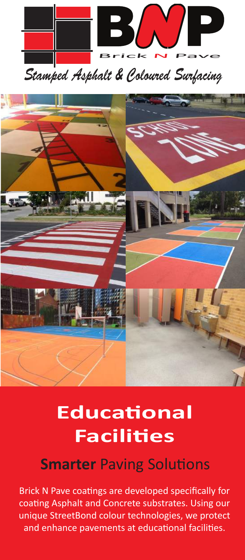

*Stamped Asphalt & Coloured Surfacing*



# **Educational Facilities**

### **Smarter** Paving Solutions

Brick N Pave coatings are developed specifically for coating Asphalt and Concrete substrates. Using our unique StreetBond colour technologies, we protect and enhance pavements at educational facilities.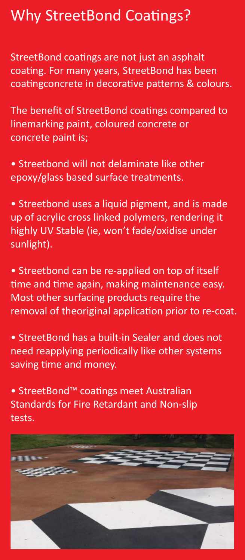## Why StreetBond Coatings?

StreetBond coatings are not just an asphalt coating. For many years, StreetBond has been coatingconcrete in decorative patterns & colours.

The benefit of StreetBond coatings compared to linemarking paint, coloured concrete or concrete paint is;

• Streetbond will not delaminate like other epoxy/glass based surface treatments.

• Streetbond uses a liquid pigment, and is made up of acrylic cross linked polymers, rendering it highly UV Stable (ie, won't fade/oxidise under sunlight).

• Streetbond can be re-applied on top of itself time and time again, making maintenance easy. Most other surfacing products require the removal of theoriginal application prior to re-coat.

• StreetBond has a built-in Sealer and does not need reapplying periodically like other systems saving time and money.

• StreetBond™ coatings meet Australian Standards for Fire Retardant and Non-slip tests.

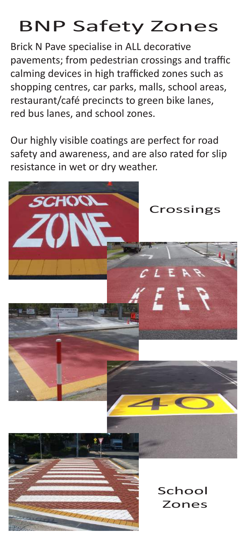# BNP Safety Zones

Brick N Pave specialise in ALL decorative pavements; from pedestrian crossings and traffic calming devices in high trafficked zones such as shopping centres, car parks, malls, school areas, restaurant/café precincts to green bike lanes, red bus lanes, and school zones.

Our highly visible coatings are perfect for road safety and awareness, and are also rated for slip resistance in wet or dry weather.

SCHOON





Crossings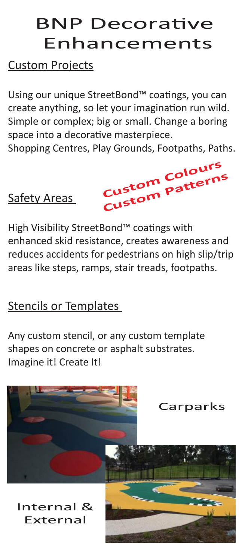# BNP Decorative Enhancements

### Custom Projects

Using our unique StreetBond™ coatings, you can create anything, so let your imagination run wild. Simple or complex; big or small. Change a boring space into a decorative masterpiece.

Shopping Centres, Play Grounds, Footpaths, Paths.

Safety Areas



High Visibility StreetBond™ coatings with enhanced skid resistance, creates awareness and reduces accidents for pedestrians on high slip/trip areas like steps, ramps, stair treads, footpaths.

### Stencils or Templates

Any custom stencil, or any custom template shapes on concrete or asphalt substrates. Imagine it! Create It!

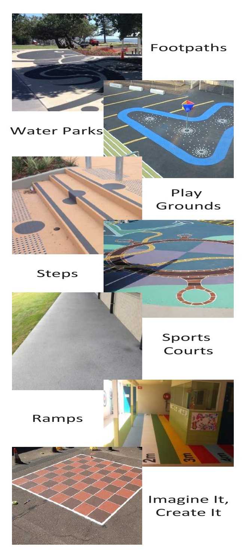

Footpaths

#### Water Parks



### Steps



#### Sports Courts